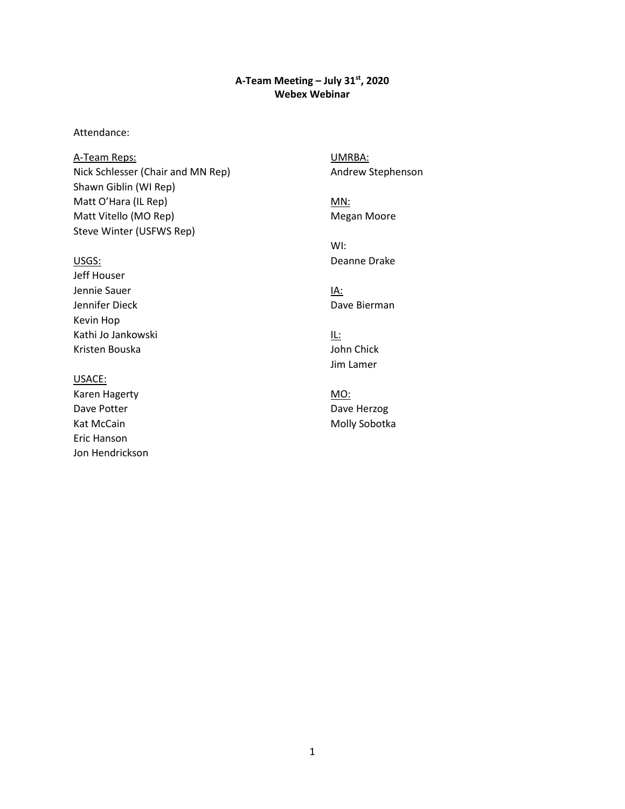## **A-Team Meeting – July 31st, 2020 Webex Webinar**

### Attendance:

A-Team Reps: Nick Schlesser (Chair and MN Rep) Shawn Giblin (WI Rep) Matt O'Hara (IL Rep) Matt Vitello (MO Rep) Steve Winter (USFWS Rep)

#### USGS:

Jeff Houser Jennie Sauer Jennifer Dieck Kevin Hop Kathi Jo Jankowski Kristen Bouska

### USACE:

Karen Hagerty Dave Potter Kat McCain Eric Hanson Jon Hendrickson UMRBA: Andrew Stephenson

MN: Megan Moore

WI: Deanne Drake

IA: Dave Bierman

IL: John Chick Jim Lamer

MO: Dave Herzog Molly Sobotka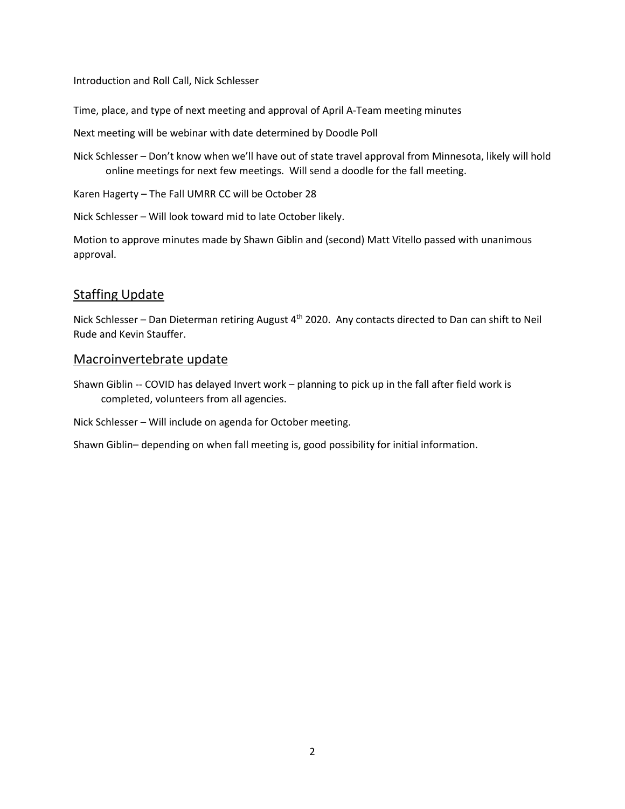Introduction and Roll Call, Nick Schlesser

Time, place, and type of next meeting and approval of April A-Team meeting minutes

Next meeting will be webinar with date determined by Doodle Poll

 Nick Schlesser – Don't know when we'll have out of state travel approval from Minnesota, likely will hold online meetings for next few meetings. Will send a doodle for the fall meeting.

Karen Hagerty – The Fall UMRR CC will be October 28

Nick Schlesser – Will look toward mid to late October likely.

 Motion to approve minutes made by Shawn Giblin and (second) Matt Vitello passed with unanimous approval.

## Staffing Update

Nick Schlesser – Dan Dieterman retiring August 4<sup>th</sup> 2020. Any contacts directed to Dan can shift to Neil Rude and Kevin Stauffer.

## Macroinvertebrate update

 Shawn Giblin -- COVID has delayed Invert work – planning to pick up in the fall after field work is completed, volunteers from all agencies.

Nick Schlesser - Will include on agenda for October meeting.

Shawn Giblin– depending on when fall meeting is, good possibility for initial information.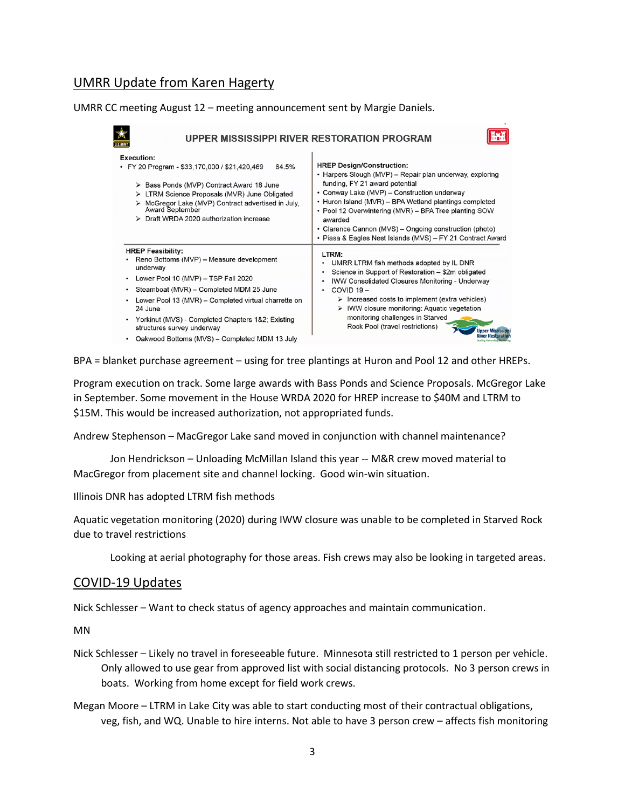## UMRR Update from Karen Hagerty

UMRR CC meeting August 12 – meeting announcement sent by Margie Daniels.

| <b>Execution:</b><br>64.5%<br>• FY 20 Program - \$33,170,000 / \$21,420,469<br>> Bass Ponds (MVP) Contract Award 18 June<br>> LTRM Science Proposals (MVR) June Obligated<br>McGregor Lake (MVP) Contract advertised in July,<br><b>Award September</b><br>> Draft WRDA 2020 authorization increase                                                                                        | <b>HREP Design/Construction:</b><br>• Harpers Slough (MVP) – Repair plan underway, exploring<br>funding, FY 21 award potential<br>• Conway Lake (MVP) – Construction underway<br>• Huron Island (MVR) – BPA Wetland plantings completed<br>• Pool 12 Overwintering (MVR) – BPA Tree planting SOW<br>awarded<br>• Clarence Cannon (MVS) – Ongoing construction (photo)<br>• Piasa & Eagles Nest Islands (MVS) - FY 21 Contract Award   |
|--------------------------------------------------------------------------------------------------------------------------------------------------------------------------------------------------------------------------------------------------------------------------------------------------------------------------------------------------------------------------------------------|---------------------------------------------------------------------------------------------------------------------------------------------------------------------------------------------------------------------------------------------------------------------------------------------------------------------------------------------------------------------------------------------------------------------------------------|
| <b>HREP Feasibility:</b><br>Reno Bottoms (MVP) - Measure development<br>underway<br>Lower Pool 10 (MVP) - TSP Fall 2020<br>٠<br>Steamboat (MVR) - Completed MDM 25 June<br>٠<br>Lower Pool 13 (MVR) – Completed virtual charrette on<br>٠<br>24 June<br>• Yorkinut (MVS) - Completed Chapters 1&2; Existing<br>structures survey underway<br>Oakwood Bottoms (MVS) - Completed MDM 13 July | LTRM:<br>UMRR LTRM fish methods adopted by IL DNR<br>Science in Support of Restoration - \$2m obligated<br><b>IWW Consolidated Closures Monitoring - Underway</b><br>$\bullet$<br>COVID 19-<br>$\bullet$<br>$\triangleright$ Increased costs to implement (extra vehicles)<br>$\triangleright$ IWW closure monitoring: Aquatic vegetation<br>monitoring challenges in Starved<br>Rock Pool (travel restrictions)<br><b>Upper Miss</b> |

BPA = blanket purchase agreement – using for tree plantings at Huron and Pool 12 and other HREPs.

Program execution on track. Some large awards with Bass Ponds and Science Proposals. McGregor Lake in September. Some movement in the House WRDA 2020 for HREP increase to \$40M and LTRM to \$15M. This would be increased authorization, not appropriated funds.

Andrew Stephenson – MacGregor Lake sand moved in conjunction with channel maintenance?

 Jon Hendrickson – Unloading McMillan Island this year -- M&R crew moved material to MacGregor from placement site and channel locking. Good win-win situation.

Illinois DNR has adopted LTRM fish methods

Aquatic vegetation monitoring (2020) during IWW closure was unable to be completed in Starved Rock due to travel restrictions

Looking at aerial photography for those areas. Fish crews may also be looking in targeted areas.

### COVID-19 Updates

Nick Schlesser – Want to check status of agency approaches and maintain communication.

MN

- Nick Schlesser Likely no travel in foreseeable future. Minnesota still restricted to 1 person per vehicle. boats. Working from home except for field work crews. Only allowed to use gear from approved list with social distancing protocols. No 3 person crews in
- Megan Moore LTRM in Lake City was able to start conducting most of their contractual obligations, veg, fish, and WQ. Unable to hire interns. Not able to have 3 person crew – affects fish monitoring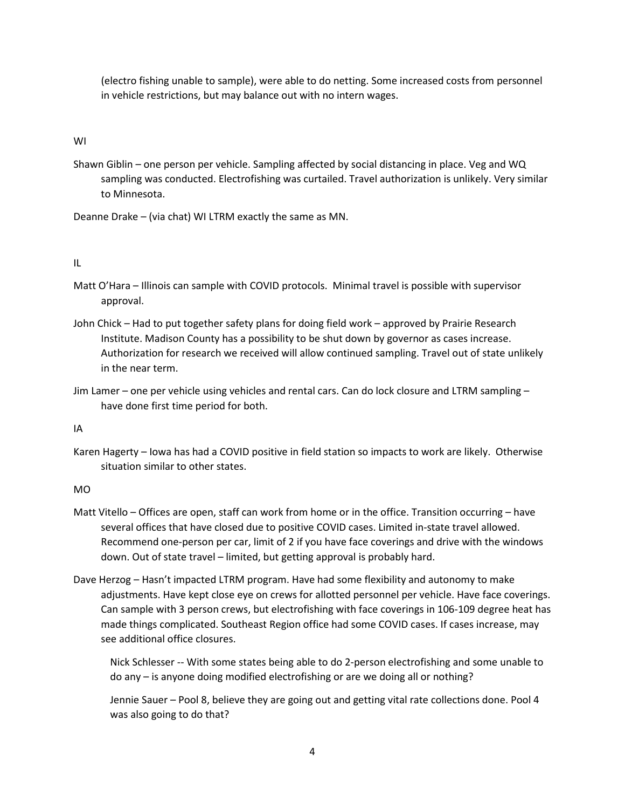in vehicle restrictions, but may balance out with no intern wages. (electro fishing unable to sample), were able to do netting. Some increased costs from personnel

WI

 Shawn Giblin – one person per vehicle. Sampling affected by social distancing in place. Veg and WQ sampling was conducted. Electrofishing was curtailed. Travel authorization is unlikely. Very similar to Minnesota.

Deanne Drake – (via chat) WI LTRM exactly the same as MN.

IL

- Matt O'Hara Illinois can sample with COVID protocols. Minimal travel is possible with supervisor approval.
- Institute. Madison County has a possibility to be shut down by governor as cases increase. Authorization for research we received will allow continued sampling. Travel out of state unlikely John Chick – Had to put together safety plans for doing field work – approved by Prairie Research in the near term.
- Jim Lamer one per vehicle using vehicles and rental cars. Can do lock closure and LTRM sampling have done first time period for both.

IA

 Karen Hagerty – Iowa has had a COVID positive in field station so impacts to work are likely. Otherwise situation similar to other states.

MO

- Matt Vitello Offices are open, staff can work from home or in the office. Transition occurring have Recommend one-person per car, limit of 2 if you have face coverings and drive with the windows several offices that have closed due to positive COVID cases. Limited in-state travel allowed. down. Out of state travel – limited, but getting approval is probably hard.
- Dave Herzog Hasn't impacted LTRM program. Have had some flexibility and autonomy to make made things complicated. Southeast Region office had some COVID cases. If cases increase, may adjustments. Have kept close eye on crews for allotted personnel per vehicle. Have face coverings. Can sample with 3 person crews, but electrofishing with face coverings in 106-109 degree heat has see additional office closures.

 Nick Schlesser -- With some states being able to do 2-person electrofishing and some unable to do any – is anyone doing modified electrofishing or are we doing all or nothing?

Jennie Sauer – Pool 8, believe they are going out and getting vital rate collections done. Pool 4 was also going to do that?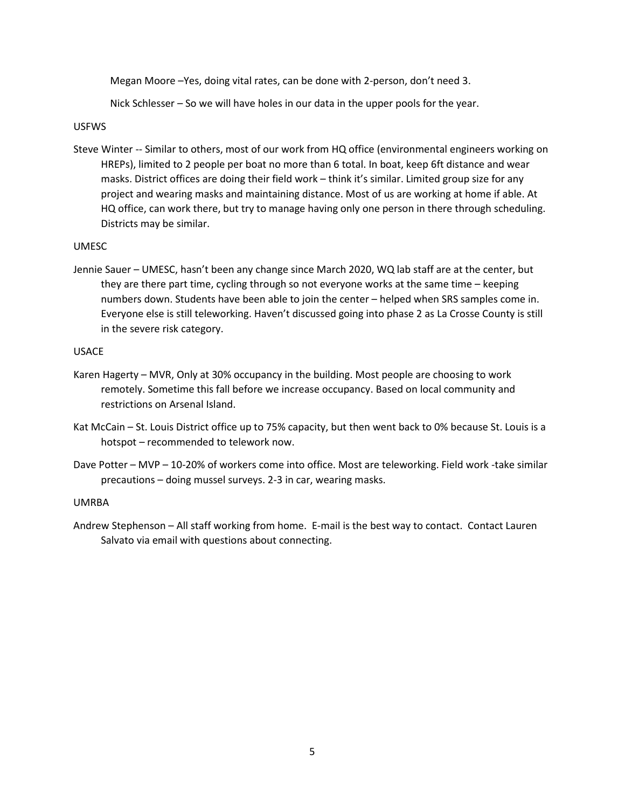Megan Moore –Yes, doing vital rates, can be done with 2-person, don't need 3.

Nick Schlesser – So we will have holes in our data in the upper pools for the year.

#### USFWS

 Steve Winter -- Similar to others, most of our work from HQ office (environmental engineers working on masks. District offices are doing their field work – think it's similar. Limited group size for any project and wearing masks and maintaining distance. Most of us are working at home if able. At HQ office, can work there, but try to manage having only one person in there through scheduling. HREPs), limited to 2 people per boat no more than 6 total. In boat, keep 6ft distance and wear Districts may be similar.

### UMESC

 numbers down. Students have been able to join the center – helped when SRS samples come in. Jennie Sauer – UMESC, hasn't been any change since March 2020, WQ lab staff are at the center, but they are there part time, cycling through so not everyone works at the same time – keeping Everyone else is still teleworking. Haven't discussed going into phase 2 as La Crosse County is still in the severe risk category.

#### USACE

- Karen Hagerty MVR, Only at 30% occupancy in the building. Most people are choosing to work remotely. Sometime this fall before we increase occupancy. Based on local community and restrictions on Arsenal Island.
- Kat McCain St. Louis District office up to 75% capacity, but then went back to 0% because St. Louis is a hotspot – recommended to telework now.
- Dave Potter MVP 10-20% of workers come into office. Most are teleworking. Field work -take similar precautions – doing mussel surveys. 2-3 in car, wearing masks.

#### UMRBA

 Andrew Stephenson – All staff working from home. E-mail is the best way to contact. Contact Lauren Salvato via email with questions about connecting.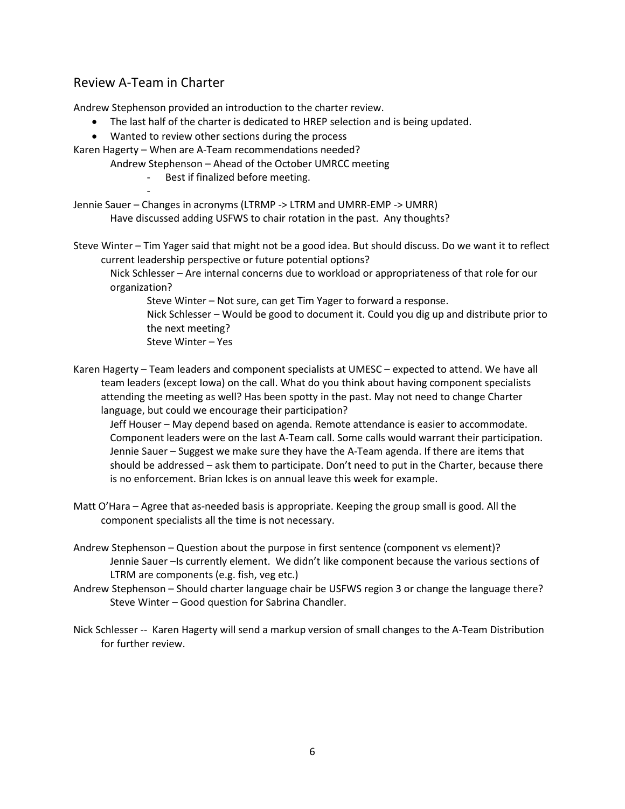# Review A-Team in Charter

-

Andrew Stephenson provided an introduction to the charter review.

- The last half of the charter is dedicated to HREP selection and is being updated.
- Wanted to review other sections during the process

Karen Hagerty – When are A-Team recommendations needed?

Andrew Stephenson – Ahead of the October UMRCC meeting

Best if finalized before meeting.

 Have discussed adding USFWS to chair rotation in the past. Any thoughts? Jennie Sauer – Changes in acronyms (LTRMP -> LTRM and UMRR-EMP -> UMRR)

Steve Winter – Tim Yager said that might not be a good idea. But should discuss. Do we want it to reflect current leadership perspective or future potential options?

Nick Schlesser – Are internal concerns due to workload or appropriateness of that role for our organization?

Steve Winter – Not sure, can get Tim Yager to forward a response.

 Nick Schlesser – Would be good to document it. Could you dig up and distribute prior to the next meeting?

Steve Winter – Yes

 language, but could we encourage their participation? Karen Hagerty – Team leaders and component specialists at UMESC – expected to attend. We have all team leaders (except Iowa) on the call. What do you think about having component specialists attending the meeting as well? Has been spotty in the past. May not need to change Charter

 Jeff Houser – May depend based on agenda. Remote attendance is easier to accommodate. Component leaders were on the last A-Team call. Some calls would warrant their participation. should be addressed – ask them to participate. Don't need to put in the Charter, because there Jennie Sauer – Suggest we make sure they have the A-Team agenda. If there are items that is no enforcement. Brian Ickes is on annual leave this week for example.

Matt O'Hara – Agree that as-needed basis is appropriate. Keeping the group small is good. All the component specialists all the time is not necessary.

 Andrew Stephenson – Question about the purpose in first sentence (component vs element)? Jennie Sauer –Is currently element. We didn't like component because the various sections of LTRM are components (e.g. fish, veg etc.)

 Andrew Stephenson – Should charter language chair be USFWS region 3 or change the language there? Steve Winter – Good question for Sabrina Chandler.

 Nick Schlesser -- Karen Hagerty will send a markup version of small changes to the A-Team Distribution for further review.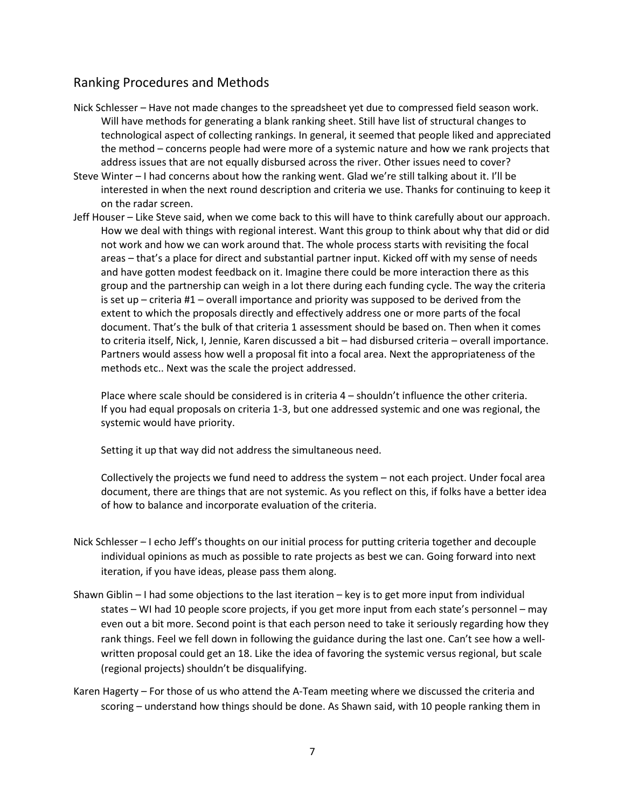## Ranking Procedures and Methods

- address issues that are not equally disbursed across the river. Other issues need to cover? Nick Schlesser – Have not made changes to the spreadsheet yet due to compressed field season work. Will have methods for generating a blank ranking sheet. Still have list of structural changes to technological aspect of collecting rankings. In general, it seemed that people liked and appreciated the method – concerns people had were more of a systemic nature and how we rank projects that
- Steve Winter I had concerns about how the ranking went. Glad we're still talking about it. I'll be interested in when the next round description and criteria we use. Thanks for continuing to keep it on the radar screen.
- Jeff Houser Like Steve said, when we come back to this will have to think carefully about our approach. How we deal with things with regional interest. Want this group to think about why that did or did areas – that's a place for direct and substantial partner input. Kicked off with my sense of needs and have gotten modest feedback on it. Imagine there could be more interaction there as this group and the partnership can weigh in a lot there during each funding cycle. The way the criteria is set up – criteria #1 – overall importance and priority was supposed to be derived from the extent to which the proposals directly and effectively address one or more parts of the focal document. That's the bulk of that criteria 1 assessment should be based on. Then when it comes not work and how we can work around that. The whole process starts with revisiting the focal to criteria itself, Nick, I, Jennie, Karen discussed a bit – had disbursed criteria – overall importance. Partners would assess how well a proposal fit into a focal area. Next the appropriateness of the methods etc.. Next was the scale the project addressed.

 If you had equal proposals on criteria 1-3, but one addressed systemic and one was regional, the Place where scale should be considered is in criteria 4 – shouldn't influence the other criteria. systemic would have priority.

Setting it up that way did not address the simultaneous need.

 of how to balance and incorporate evaluation of the criteria. Collectively the projects we fund need to address the system – not each project. Under focal area document, there are things that are not systemic. As you reflect on this, if folks have a better idea

- Nick Schlesser I echo Jeff's thoughts on our initial process for putting criteria together and decouple individual opinions as much as possible to rate projects as best we can. Going forward into next iteration, if you have ideas, please pass them along.
- Shawn Giblin I had some objections to the last iteration key is to get more input from individual states – WI had 10 people score projects, if you get more input from each state's personnel – may written proposal could get an 18. Like the idea of favoring the systemic versus regional, but scale even out a bit more. Second point is that each person need to take it seriously regarding how they rank things. Feel we fell down in following the guidance during the last one. Can't see how a well-(regional projects) shouldn't be disqualifying.
- Karen Hagerty For those of us who attend the A-Team meeting where we discussed the criteria and scoring – understand how things should be done. As Shawn said, with 10 people ranking them in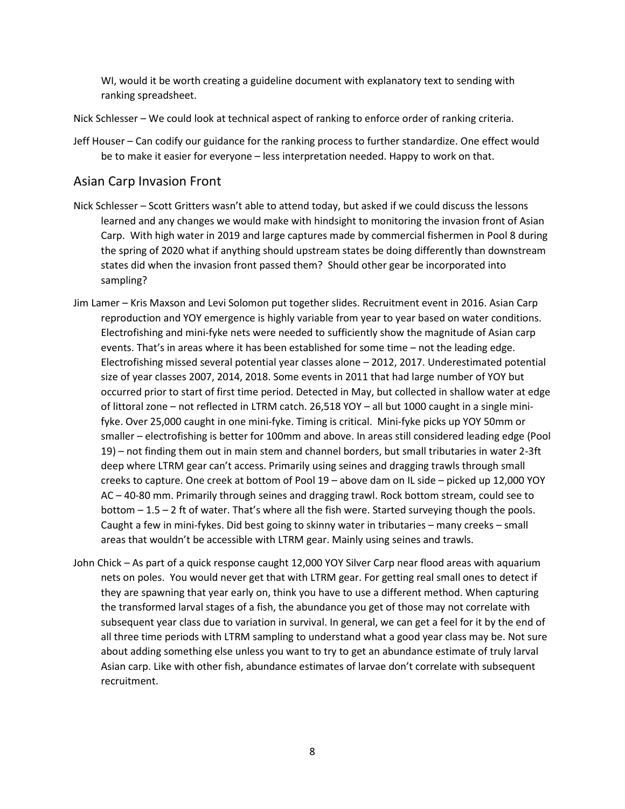WI, would it be worth creating a guideline document with explanatory text to sending with ranking spreadsheet.

Nick Schlesser – We could look at technical aspect of ranking to enforce order of ranking criteria.

Jeff Houser – Can codify our guidance for the ranking process to further standardize. One effect would be to make it easier for everyone – less interpretation needed. Happy to work on that.

## Asian Carp Invasion Front

- Nick Schlesser Scott Gritters wasn't able to attend today, but asked if we could discuss the lessons learned and any changes we would make with hindsight to monitoring the invasion front of Asian states did when the invasion front passed them? Should other gear be incorporated into Carp. With high water in 2019 and large captures made by commercial fishermen in Pool 8 during the spring of 2020 what if anything should upstream states be doing differently than downstream sampling?
- events. That's in areas where it has been established for some time not the leading edge. size of year classes 2007, 2014, 2018. Some events in 2011 that had large number of YOY but of littoral zone – not reflected in LTRM catch. 26,518 YOY – all but 1000 caught in a single mini- fyke. Over 25,000 caught in one mini-fyke. Timing is critical. Mini-fyke picks up YOY 50mm or creeks to capture. One creek at bottom of Pool 19 – above dam on IL side – picked up 12,000 YOY AC – 40-80 mm. Primarily through seines and dragging trawl. Rock bottom stream, could see to bottom – 1.5 – 2 ft of water. That's where all the fish were. Started surveying though the pools. Caught a few in mini-fykes. Did best going to skinny water in tributaries – many creeks – small Jim Lamer – Kris Maxson and Levi Solomon put together slides. Recruitment event in 2016. Asian Carp reproduction and YOY emergence is highly variable from year to year based on water conditions. Electrofishing and mini-fyke nets were needed to sufficiently show the magnitude of Asian carp Electrofishing missed several potential year classes alone – 2012, 2017. Underestimated potential occurred prior to start of first time period. Detected in May, but collected in shallow water at edge smaller – electrofishing is better for 100mm and above. In areas still considered leading edge (Pool 19) – not finding them out in main stem and channel borders, but small tributaries in water 2-3ft deep where LTRM gear can't access. Primarily using seines and dragging trawls through small areas that wouldn't be accessible with LTRM gear. Mainly using seines and trawls.
- nets on poles. You would never get that with LTRM gear. For getting real small ones to detect if they are spawning that year early on, think you have to use a different method. When capturing the transformed larval stages of a fish, the abundance you get of those may not correlate with subsequent year class due to variation in survival. In general, we can get a feel for it by the end of all three time periods with LTRM sampling to understand what a good year class may be. Not sure about adding something else unless you want to try to get an abundance estimate of truly larval John Chick – As part of a quick response caught 12,000 YOY Silver Carp near flood areas with aquarium Asian carp. Like with other fish, abundance estimates of larvae don't correlate with subsequent recruitment.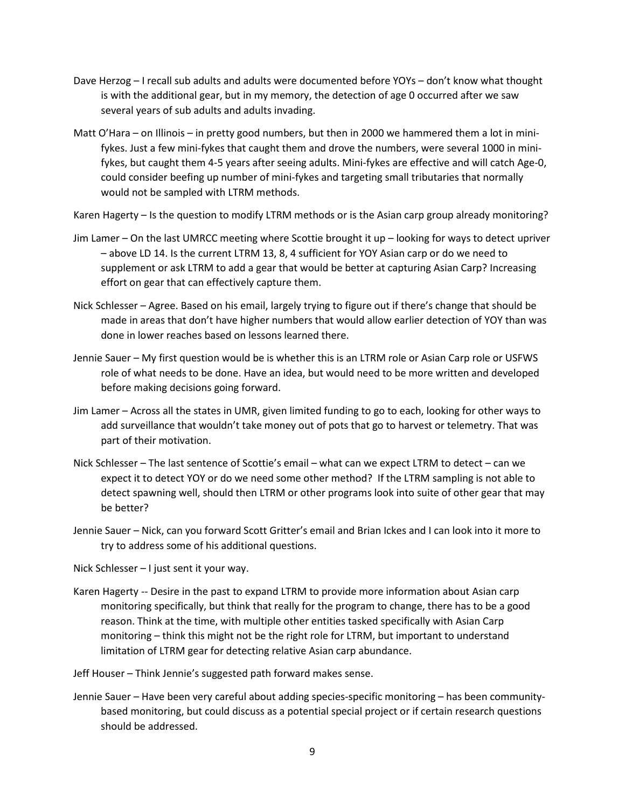- Dave Herzog I recall sub adults and adults were documented before YOYs don't know what thought is with the additional gear, but in my memory, the detection of age 0 occurred after we saw several years of sub adults and adults invading.
- Matt O'Hara on Illinois in pretty good numbers, but then in 2000 we hammered them a lot in mini- fykes, but caught them 4-5 years after seeing adults. Mini-fykes are effective and will catch Age-0, would not be sampled with LTRM methods. fykes. Just a few mini-fykes that caught them and drove the numbers, were several 1000 in minicould consider beefing up number of mini-fykes and targeting small tributaries that normally

Karen Hagerty – Is the question to modify LTRM methods or is the Asian carp group already monitoring?

- Jim Lamer On the last UMRCC meeting where Scottie brought it up looking for ways to detect upriver – above LD 14. Is the current LTRM 13, 8, 4 sufficient for YOY Asian carp or do we need to supplement or ask LTRM to add a gear that would be better at capturing Asian Carp? Increasing effort on gear that can effectively capture them.
- Nick Schlesser Agree. Based on his email, largely trying to figure out if there's change that should be made in areas that don't have higher numbers that would allow earlier detection of YOY than was done in lower reaches based on lessons learned there.
- Jennie Sauer My first question would be is whether this is an LTRM role or Asian Carp role or USFWS role of what needs to be done. Have an idea, but would need to be more written and developed before making decisions going forward.
- Jim Lamer Across all the states in UMR, given limited funding to go to each, looking for other ways to add surveillance that wouldn't take money out of pots that go to harvest or telemetry. That was part of their motivation.
- Nick Schlesser The last sentence of Scottie's email what can we expect LTRM to detect can we detect spawning well, should then LTRM or other programs look into suite of other gear that may expect it to detect YOY or do we need some other method? If the LTRM sampling is not able to be better?
- Jennie Sauer Nick, can you forward Scott Gritter's email and Brian Ickes and I can look into it more to try to address some of his additional questions.

Nick Schlesser – I just sent it your way.

- Karen Hagerty -- Desire in the past to expand LTRM to provide more information about Asian carp reason. Think at the time, with multiple other entities tasked specifically with Asian Carp monitoring – think this might not be the right role for LTRM, but important to understand monitoring specifically, but think that really for the program to change, there has to be a good limitation of LTRM gear for detecting relative Asian carp abundance.
- Jeff Houser Think Jennie's suggested path forward makes sense.
- Jennie Sauer Have been very careful about adding species-specific monitoring has been communitybased monitoring, but could discuss as a potential special project or if certain research questions should be addressed.